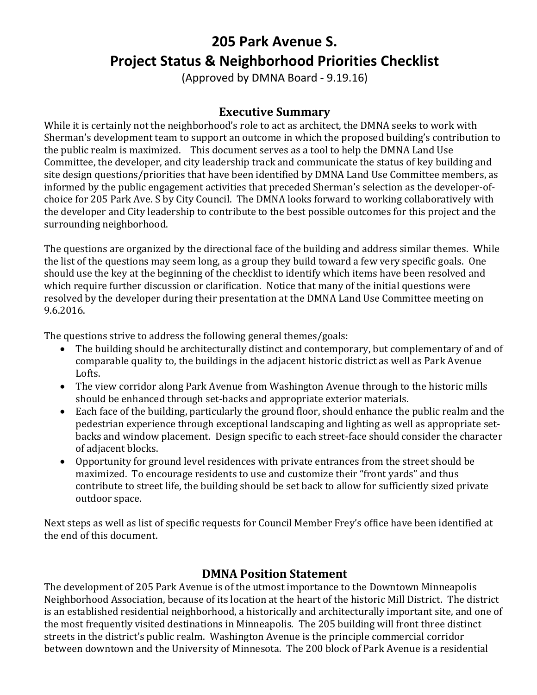# **205 Park Avenue S. Project Status & Neighborhood Priorities Checklist**

(Approved by DMNA Board - 9.19.16)

## **Executive Summary**

While it is certainly not the neighborhood's role to act as architect, the DMNA seeks to work with Sherman's development team to support an outcome in which the proposed building's contribution to the public realm is maximized. This document serves as a tool to help the DMNA Land Use Committee, the developer, and city leadership track and communicate the status of key building and site design questions/priorities that have been identified by DMNA Land Use Committee members, as informed by the public engagement activities that preceded Sherman's selection as the developer-ofchoice for 205 Park Ave. S by City Council. The DMNA looks forward to working collaboratively with the developer and City leadership to contribute to the best possible outcomes for this project and the surrounding neighborhood.

The questions are organized by the directional face of the building and address similar themes. While the list of the questions may seem long, as a group they build toward a few very specific goals. One should use the key at the beginning of the checklist to identify which items have been resolved and which require further discussion or clarification. Notice that many of the initial questions were resolved by the developer during their presentation at the DMNA Land Use Committee meeting on 9.6.2016.

The questions strive to address the following general themes/goals:

- The building should be architecturally distinct and contemporary, but complementary of and of comparable quality to, the buildings in the adjacent historic district as well as Park Avenue Lofts.
- The view corridor along Park Avenue from Washington Avenue through to the historic mills should be enhanced through set-backs and appropriate exterior materials.
- Each face of the building, particularly the ground floor, should enhance the public realm and the pedestrian experience through exceptional landscaping and lighting as well as appropriate setbacks and window placement. Design specific to each street-face should consider the character of adjacent blocks.
- Opportunity for ground level residences with private entrances from the street should be maximized. To encourage residents to use and customize their "front yards" and thus contribute to street life, the building should be set back to allow for sufficiently sized private outdoor space.

Next steps as well as list of specific requests for Council Member Frey's office have been identified at the end of this document.

## **DMNA Position Statement**

The development of 205 Park Avenue is of the utmost importance to the Downtown Minneapolis Neighborhood Association, because of its location at the heart of the historic Mill District. The district is an established residential neighborhood, a historically and architecturally important site, and one of the most frequently visited destinations in Minneapolis. The 205 building will front three distinct streets in the district's public realm. Washington Avenue is the principle commercial corridor between downtown and the University of Minnesota. The 200 block of Park Avenue is a residential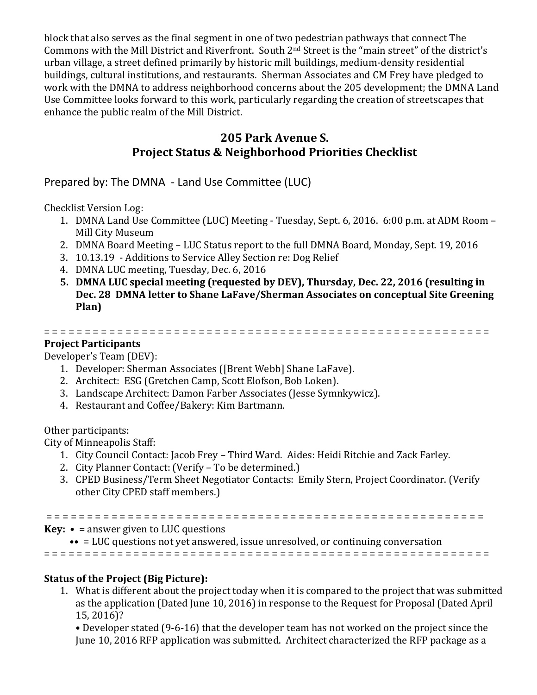block that also serves as the final segment in one of two pedestrian pathways that connect The Commons with the Mill District and Riverfront. South 2nd Street is the "main street" of the district's urban village, a street defined primarily by historic mill buildings, medium-density residential buildings, cultural institutions, and restaurants. Sherman Associates and CM Frey have pledged to work with the DMNA to address neighborhood concerns about the 205 development; the DMNA Land Use Committee looks forward to this work, particularly regarding the creation of streetscapes that enhance the public realm of the Mill District.

## **205 Park Avenue S. Project Status & Neighborhood Priorities Checklist**

Prepared by: The DMNA - Land Use Committee (LUC)

Checklist Version Log:

- 1. DMNA Land Use Committee (LUC) Meeting Tuesday, Sept. 6, 2016. 6:00 p.m. at ADM Room Mill City Museum
- 2. DMNA Board Meeting LUC Status report to the full DMNA Board, Monday, Sept. 19, 2016
- 3. 10.13.19 Additions to Service Alley Section re: Dog Relief
- 4. DMNA LUC meeting, Tuesday, Dec. 6, 2016
- **5. DMNA LUC special meeting (requested by DEV), Thursday, Dec. 22, 2016 (resulting in Dec. 28 DMNA letter to Shane LaFave/Sherman Associates on conceptual Site Greening Plan)**

# = = = = = = = = = = = = = = = = = = = = = = = = = = = = = = = = = = = = = = = = = = = = = = = = = = = = = = =

**Project Participants** Developer's Team (DEV):

- 1. Developer: Sherman Associates ([Brent Webb] Shane LaFave).
- 2. Architect: ESG (Gretchen Camp, Scott Elofson, Bob Loken).
- 3. Landscape Architect: Damon Farber Associates (Jesse Symnkywicz).
- 4. Restaurant and Coffee/Bakery: Kim Bartmann.

Other participants:

City of Minneapolis Staff:

- 1. City Council Contact: Jacob Frey Third Ward. Aides: Heidi Ritchie and Zack Farley.
- 2. City Planner Contact: (Verify To be determined.)
- 3. CPED Business/Term Sheet Negotiator Contacts: Emily Stern, Project Coordinator. (Verify other City CPED staff members.)

= = = = = = = = = = = = = = = = = = = = = = = = = = = = = = = = = = = = = = = = = = = = = = = = = = = = = =

**Key:** • = answer given to LUC questions

•• = LUC questions not yet answered, issue unresolved, or continuing conversation

= = = = = = = = = = = = = = = = = = = = = = = = = = = = = = = = = = = = = = = = = = = = = = = = = = = = = = =

#### **Status of the Project (Big Picture):**

1. What is different about the project today when it is compared to the project that was submitted as the application (Dated June 10, 2016) in response to the Request for Proposal (Dated April 15, 2016)?

• Developer stated (9-6-16) that the developer team has not worked on the project since the June 10, 2016 RFP application was submitted. Architect characterized the RFP package as a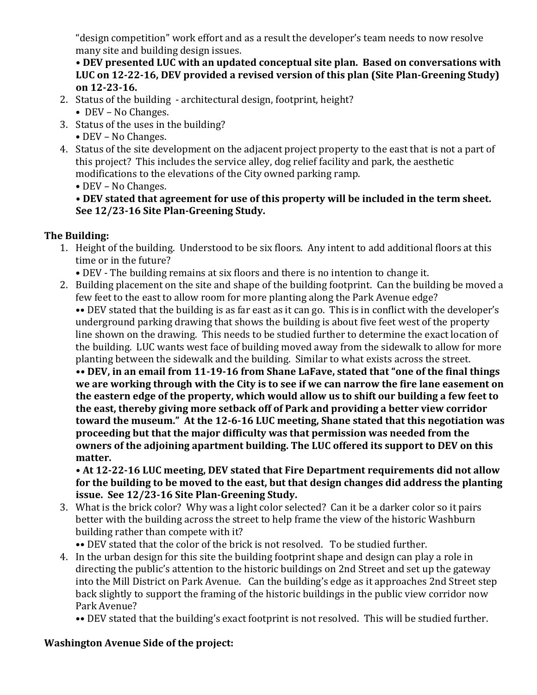"design competition" work effort and as a result the developer's team needs to now resolve many site and building design issues.

**• DEV presented LUC with an updated conceptual site plan. Based on conversations with LUC on 12-22-16, DEV provided a revised version of this plan (Site Plan-Greening Study) on 12-23-16.**

- 2. Status of the building architectural design, footprint, height?
	- DEV No Changes.
- 3. Status of the uses in the building? • DEV – No Changes.
- 4. Status of the site development on the adjacent project property to the east that is not a part of this project? This includes the service alley, dog relief facility and park, the aesthetic modifications to the elevations of the City owned parking ramp.
	- DEV No Changes.

## **• DEV stated that agreement for use of this property will be included in the term sheet. See 12/23-16 Site Plan-Greening Study.**

# **The Building:**

- 1. Height of the building. Understood to be six floors. Any intent to add additional floors at this time or in the future?
	- DEV The building remains at six floors and there is no intention to change it.
- 2. Building placement on the site and shape of the building footprint. Can the building be moved a few feet to the east to allow room for more planting along the Park Avenue edge?

•• DEV stated that the building is as far east as it can go. This is in conflict with the developer's underground parking drawing that shows the building is about five feet west of the property line shown on the drawing. This needs to be studied further to determine the exact location of the building. LUC wants west face of building moved away from the sidewalk to allow for more planting between the sidewalk and the building. Similar to what exists across the street.

**•• DEV, in an email from 11-19-16 from Shane LaFave, stated that "one of the final things we are working through with the City is to see if we can narrow the fire lane easement on the eastern edge of the property, which would allow us to shift our building a few feet to the east, thereby giving more setback off of Park and providing a better view corridor toward the museum." At the 12-6-16 LUC meeting, Shane stated that this negotiation was proceeding but that the major difficulty was that permission was needed from the owners of the adjoining apartment building. The LUC offered its support to DEV on this matter.**

**• At 12-22-16 LUC meeting, DEV stated that Fire Department requirements did not allow for the building to be moved to the east, but that design changes did address the planting issue. See 12/23-16 Site Plan-Greening Study.**

3. What is the brick color? Why was a light color selected? Can it be a darker color so it pairs better with the building across the street to help frame the view of the historic Washburn building rather than compete with it?

•• DEV stated that the color of the brick is not resolved. To be studied further.

4. In the urban design for this site the building footprint shape and design can play a role in directing the public's attention to the historic buildings on 2nd Street and set up the gateway into the Mill District on Park Avenue. Can the building's edge as it approaches 2nd Street step back slightly to support the framing of the historic buildings in the public view corridor now Park Avenue?

•• DEV stated that the building's exact footprint is not resolved. This will be studied further.

# **Washington Avenue Side of the project:**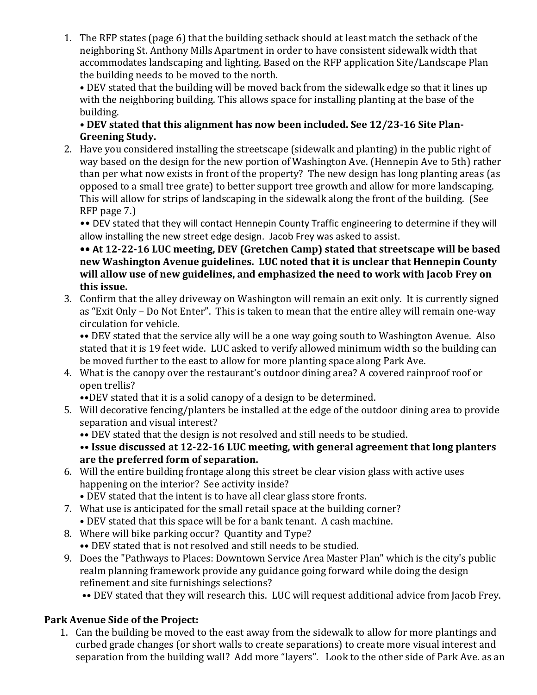1. The RFP states (page 6) that the building setback should at least match the setback of the neighboring St. Anthony Mills Apartment in order to have consistent sidewalk width that accommodates landscaping and lighting. Based on the RFP application Site/Landscape Plan the building needs to be moved to the north.

• DEV stated that the building will be moved back from the sidewalk edge so that it lines up with the neighboring building. This allows space for installing planting at the base of the building.

#### **• DEV stated that this alignment has now been included. See 12/23-16 Site Plan-Greening Study.**

2. Have you considered installing the streetscape (sidewalk and planting) in the public right of way based on the design for the new portion of Washington Ave. (Hennepin Ave to 5th) rather than per what now exists in front of the property? The new design has long planting areas (as opposed to a small tree grate) to better support tree growth and allow for more landscaping. This will allow for strips of landscaping in the sidewalk along the front of the building. (See RFP page 7.)

•• DEV stated that they will contact Hennepin County Traffic engineering to determine if they will allow installing the new street edge design. Jacob Frey was asked to assist.

**•• At 12-22-16 LUC meeting, DEV (Gretchen Camp) stated that streetscape will be based new Washington Avenue guidelines. LUC noted that it is unclear that Hennepin County will allow use of new guidelines, and emphasized the need to work with Jacob Frey on this issue.**

3. Confirm that the alley driveway on Washington will remain an exit only. It is currently signed as "Exit Only – Do Not Enter". This is taken to mean that the entire alley will remain one-way circulation for vehicle.

•• DEV stated that the service ally will be a one way going south to Washington Avenue. Also stated that it is 19 feet wide. LUC asked to verify allowed minimum width so the building can be moved further to the east to allow for more planting space along Park Ave.

4. What is the canopy over the restaurant's outdoor dining area? A covered rainproof roof or open trellis?

••DEV stated that it is a solid canopy of a design to be determined.

- 5. Will decorative fencing/planters be installed at the edge of the outdoor dining area to provide separation and visual interest?
	- •• DEV stated that the design is not resolved and still needs to be studied.

#### **•• Issue discussed at 12-22-16 LUC meeting, with general agreement that long planters are the preferred form of separation.**

- 6. Will the entire building frontage along this street be clear vision glass with active uses happening on the interior? See activity inside?
	- DEV stated that the intent is to have all clear glass store fronts.
- 7. What use is anticipated for the small retail space at the building corner? • DEV stated that this space will be for a bank tenant. A cash machine.
- 8. Where will bike parking occur? Quantity and Type?
	- •• DEV stated that is not resolved and still needs to be studied.
- 9. Does the "Pathways to Places: Downtown Service Area Master Plan" which is the city's public realm planning framework provide any guidance going forward while doing the design refinement and site furnishings selections?

•• DEV stated that they will research this. LUC will request additional advice from Jacob Frey.

## **Park Avenue Side of the Project:**

1. Can the building be moved to the east away from the sidewalk to allow for more plantings and curbed grade changes (or short walls to create separations) to create more visual interest and separation from the building wall? Add more "layers". Look to the other side of Park Ave. as an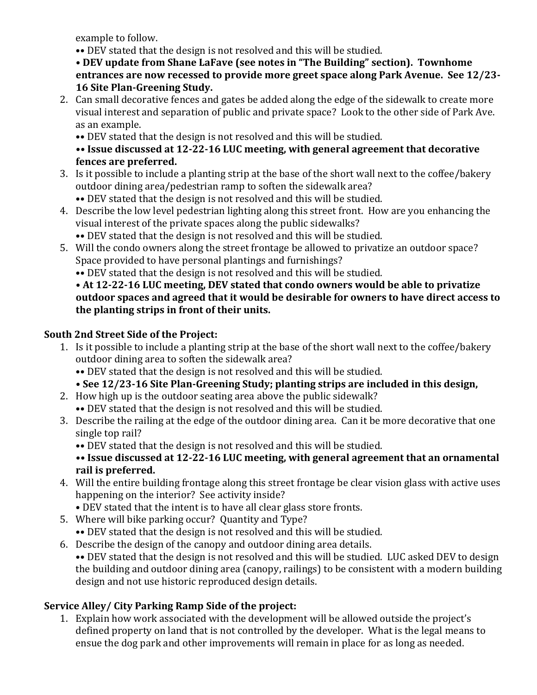example to follow.

•• DEV stated that the design is not resolved and this will be studied.

**• DEV update from Shane LaFave (see notes in "The Building" section). Townhome entrances are now recessed to provide more greet space along Park Avenue. See 12/23- 16 Site Plan-Greening Study.**

2. Can small decorative fences and gates be added along the edge of the sidewalk to create more visual interest and separation of public and private space? Look to the other side of Park Ave. as an example.

•• DEV stated that the design is not resolved and this will be studied.

#### **•• Issue discussed at 12-22-16 LUC meeting, with general agreement that decorative fences are preferred.**

3. Is it possible to include a planting strip at the base of the short wall next to the coffee/bakery outdoor dining area/pedestrian ramp to soften the sidewalk area?

•• DEV stated that the design is not resolved and this will be studied.

- 4. Describe the low level pedestrian lighting along this street front. How are you enhancing the visual interest of the private spaces along the public sidewalks? •• DEV stated that the design is not resolved and this will be studied.
- 5. Will the condo owners along the street frontage be allowed to privatize an outdoor space? Space provided to have personal plantings and furnishings?

•• DEV stated that the design is not resolved and this will be studied.

#### **• At 12-22-16 LUC meeting, DEV stated that condo owners would be able to privatize outdoor spaces and agreed that it would be desirable for owners to have direct access to the planting strips in front of their units.**

# **South 2nd Street Side of the Project:**

- 1. Is it possible to include a planting strip at the base of the short wall next to the coffee/bakery outdoor dining area to soften the sidewalk area?
	- •• DEV stated that the design is not resolved and this will be studied.

**• See 12/23-16 Site Plan-Greening Study; planting strips are included in this design,**

- 2. How high up is the outdoor seating area above the public sidewalk?
	- •• DEV stated that the design is not resolved and this will be studied.
- 3. Describe the railing at the edge of the outdoor dining area. Can it be more decorative that one single top rail?

•• DEV stated that the design is not resolved and this will be studied.

**•• Issue discussed at 12-22-16 LUC meeting, with general agreement that an ornamental rail is preferred.**

- 4. Will the entire building frontage along this street frontage be clear vision glass with active uses happening on the interior? See activity inside?
	- DEV stated that the intent is to have all clear glass store fronts.
- 5. Where will bike parking occur? Quantity and Type?
- •• DEV stated that the design is not resolved and this will be studied.
- 6. Describe the design of the canopy and outdoor dining area details. •• DEV stated that the design is not resolved and this will be studied. LUC asked DEV to design the building and outdoor dining area (canopy, railings) to be consistent with a modern building design and not use historic reproduced design details.

# **Service Alley/ City Parking Ramp Side of the project:**

1. Explain how work associated with the development will be allowed outside the project's defined property on land that is not controlled by the developer. What is the legal means to ensue the dog park and other improvements will remain in place for as long as needed.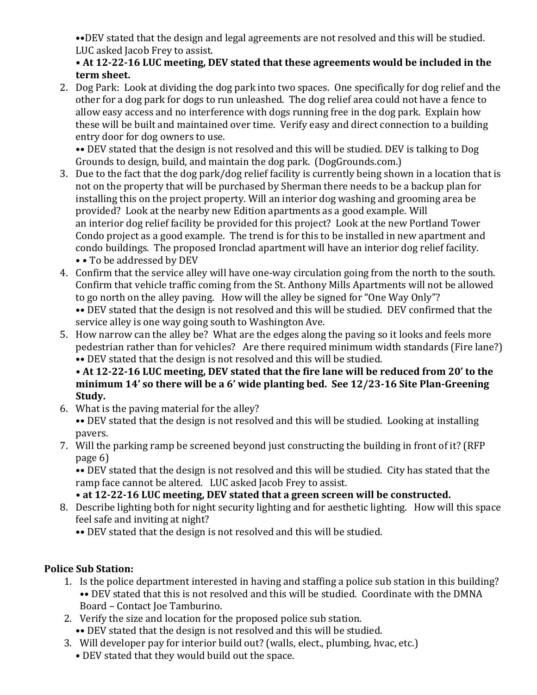••DEV stated that the design and legal agreements are not resolved and this will be studied. LUC asked Jacob Frey to assist.

#### **• At 12-22-16 LUC meeting, DEV stated that these agreements would be included in the term sheet.**

2. Dog Park: Look at dividing the dog park into two spaces. One specifically for dog relief and the other for a dog park for dogs to run unleashed. The dog relief area could not have a fence to allow easy access and no interference with dogs running free in the dog park. Explain how these will be built and maintained over time. Verify easy and direct connection to a building entry door for dog owners to use.

•• DEV stated that the design is not resolved and this will be studied. DEV is talking to Dog Grounds to design, build, and maintain the dog park. (DogGrounds.com.)

- 3. Due to the fact that the dog park/dog relief facility is currently being shown in a location that is not on the property that will be purchased by Sherman there needs to be a backup plan for installing this on the project property. Will an interior dog washing and grooming area be provided? Look at the nearby new Edition apartments as a good example. Will an interior dog relief facility be provided for this project? Look at the new Portland Tower Condo project as a good example. The trend is for this to be installed in new apartment and condo buildings. The proposed Ironclad apartment will have an interior dog relief facility. • • To be addressed by DEV
- 4. Confirm that the service alley will have one-way circulation going from the north to the south. Confirm that vehicle traffic coming from the St. Anthony Mills Apartments will not be allowed to go north on the alley paving. How will the alley be signed for "One Way Only"? •• DEV stated that the design is not resolved and this will be studied. DEV confirmed that the

service alley is one way going south to Washington Ave.

5. How narrow can the alley be? What are the edges along the paving so it looks and feels more pedestrian rather than for vehicles? Are there required minimum width standards (Fire lane?) •• DEV stated that the design is not resolved and this will be studied.

**• At 12-22-16 LUC meeting, DEV stated that the fire lane will be reduced from 20' to the minimum 14' so there will be a 6' wide planting bed. See 12/23-16 Site Plan-Greening Study.**

6. What is the paving material for the alley?

•• DEV stated that the design is not resolved and this will be studied. Looking at installing pavers.

7. Will the parking ramp be screened beyond just constructing the building in front of it? (RFP page 6)

•• DEV stated that the design is not resolved and this will be studied. City has stated that the ramp face cannot be altered. LUC asked Jacob Frey to assist.

# **• at 12-22-16 LUC meeting, DEV stated that a green screen will be constructed.**

8. Describe lighting both for night security lighting and for aesthetic lighting. How will this space feel safe and inviting at night?

•• DEV stated that the design is not resolved and this will be studied.

# **Police Sub Station:**

- 1. Is the police department interested in having and staffing a police sub station in this building? •• DEV stated that this is not resolved and this will be studied. Coordinate with the DMNA Board – Contact Joe Tamburino.
- 2. Verify the size and location for the proposed police sub station. •• DEV stated that the design is not resolved and this will be studied.
- 3. Will developer pay for interior build out? (walls, elect., plumbing, hvac, etc.)
	- DEV stated that they would build out the space.